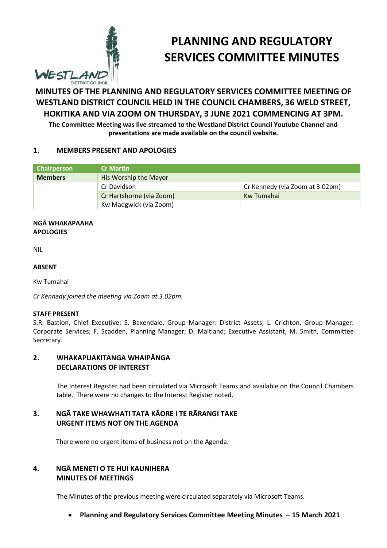

# **PLANNING AND REGULATORY SERVICES COMMITTEE MINUTES**

# **MINUTES OF THE PLANNING AND REGULATORY SERVICES COMMITTEE MEETING OF WESTLAND DISTRICT COUNCIL HELD IN THE COUNCIL CHAMBERS, 36 WELD STREET, HOKITIKA AND VIA ZOOM ON THURSDAY, 3 JUNE 2021 COMMENCING AT 3PM.**

**The Committee Meeting was live streamed to the Westland District Council Youtube Channel and presentations are made available on the council website.**

### **1. MEMBERS PRESENT AND APOLOGIES**

| <b>Chairperson</b> | <b>Cr Martin</b>         |                                 |
|--------------------|--------------------------|---------------------------------|
| <b>Members</b>     | His Worship the Mayor    |                                 |
|                    | Cr Davidson              | Cr Kennedy (via Zoom at 3.02pm) |
|                    | Cr Hartshorne (via Zoom) | Kw Tumahai                      |
|                    | Kw Madgwick (via Zoom)   |                                 |

#### **NGĀ WHAKAPAAHA APOLOGIES**

NIL

#### **ABSENT**

Kw Tumahai

*Cr Kennedy joined the meeting via Zoom at 3.02pm.*

#### **STAFF PRESENT**

S.R. Bastion, Chief Executive; S. Baxendale, Group Manager: District Assets; L. Crichton, Group Manager: Corporate Services; F. Scadden, Planning Manager; D. Maitland; Executive Assistant, M. Smith, Committee Secretary.

### **2. WHAKAPUAKITANGA WHAIPĀNGA DECLARATIONS OF INTEREST**

The Interest Register had been circulated via Microsoft Teams and available on the Council Chambers table. There were no changes to the Interest Register noted.

## **3. NGĀ TAKE WHAWHATI TATA KĀORE I TE RĀRANGI TAKE URGENT ITEMS NOT ON THE AGENDA**

There were no urgent items of business not on the Agenda.

## **4. NGĀ MENETI O TE HUI KAUNIHERA MINUTES OF MEETINGS**

The Minutes of the previous meeting were circulated separately via Microsoft Teams.

**Planning and Regulatory Services Committee Meeting Minutes – 15 March 2021**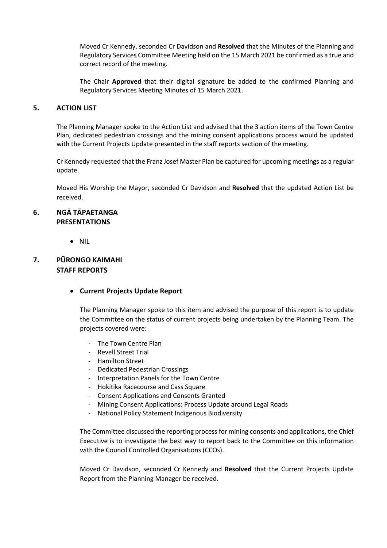Moved Cr Kennedy, seconded Cr Davidson and **Resolved** that the Minutes of the Planning and Regulatory Services Committee Meeting held on the 15 March 2021 be confirmed as a true and correct record of the meeting.

The Chair **Approved** that their digital signature be added to the confirmed Planning and Regulatory Services Meeting Minutes of 15 March 2021.

#### **5. ACTION LIST**

The Planning Manager spoke to the Action List and advised that the 3 action items of the Town Centre Plan, dedicated pedestrian crossings and the mining consent applications process would be updated with the Current Projects Update presented in the staff reports section of the meeting.

Cr Kennedy requested that the Franz Josef Master Plan be captured for upcoming meetings as a regular update.

Moved His Worship the Mayor, seconded Cr Davidson and **Resolved** that the updated Action List be received.

### **6. NGĀ TĀPAETANGA PRESENTATIONS**

 $\bullet$  NII

## **7. PŪRONGO KAIMAHI STAFF REPORTS**

### **Current Projects Update Report**

The Planning Manager spoke to this item and advised the purpose of this report is to update the Committee on the status of current projects being undertaken by the Planning Team. The projects covered were:

- The Town Centre Plan
- Revell Street Trial
- Hamilton Street
- Dedicated Pedestrian Crossings
- Interpretation Panels for the Town Centre
- Hokitika Racecourse and Cass Square
- Consent Applications and Consents Granted
- Mining Consent Applications: Process Update around Legal Roads
- National Policy Statement Indigenous Biodiversity

The Committee discussed the reporting process for mining consents and applications, the Chief Executive is to investigate the best way to report back to the Committee on this information with the Council Controlled Organisations (CCOs).

Moved Cr Davidson, seconded Cr Kennedy and **Resolved** that the Current Projects Update Report from the Planning Manager be received.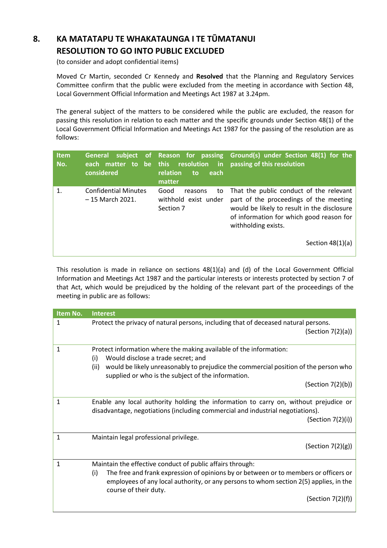## **8. KA MATATAPU TE WHAKATAUNGA I TE TŪMATANUI RESOLUTION TO GO INTO PUBLIC EXCLUDED**

(to consider and adopt confidential items)

 Moved Cr Martin, seconded Cr Kennedy and **Resolved** that the Planning and Regulatory Services Committee confirm that the public were excluded from the meeting in accordance with Section 48, Local Government Official Information and Meetings Act 1987 at 3.24pm.

The general subject of the matters to be considered while the public are excluded, the reason for passing this resolution in relation to each matter and the specific grounds under Section 48(1) of the Local Government Official Information and Meetings Act 1987 for the passing of the resolution are as follows:

| <b>Item</b><br>No. | <b>General</b><br>each matter to be this resolution<br>considered | relation<br>each<br>to<br>matter                           | subject of Reason for passing Ground(s) under Section 48(1) for the<br>in passing of this resolution                                                                                                |
|--------------------|-------------------------------------------------------------------|------------------------------------------------------------|-----------------------------------------------------------------------------------------------------------------------------------------------------------------------------------------------------|
| $\mathbf{1}$ .     | <b>Confidential Minutes</b><br>$-15$ March 2021.                  | Good<br>to<br>reasons<br>withhold exist under<br>Section 7 | That the public conduct of the relevant<br>part of the proceedings of the meeting<br>would be likely to result in the disclosure<br>of information for which good reason for<br>withholding exists. |
|                    |                                                                   |                                                            | Section $48(1)(a)$                                                                                                                                                                                  |

This resolution is made in reliance on sections 48(1)(a) and (d) of the Local Government Official Information and Meetings Act 1987 and the particular interests or interests protected by section 7 of that Act, which would be prejudiced by the holding of the relevant part of the proceedings of the meeting in public are as follows:

| Item No. | <b>Interest</b>                                                                                                                                                                                                                                                                                    |
|----------|----------------------------------------------------------------------------------------------------------------------------------------------------------------------------------------------------------------------------------------------------------------------------------------------------|
| 1        | Protect the privacy of natural persons, including that of deceased natural persons.<br>(Section 7(2)(a))                                                                                                                                                                                           |
| 1        | Protect information where the making available of the information:<br>Would disclose a trade secret; and<br>(i)                                                                                                                                                                                    |
|          | would be likely unreasonably to prejudice the commercial position of the person who<br>(ii)<br>supplied or who is the subject of the information.                                                                                                                                                  |
|          | (Section 7(2)(b))                                                                                                                                                                                                                                                                                  |
| 1        | Enable any local authority holding the information to carry on, without prejudice or<br>disadvantage, negotiations (including commercial and industrial negotiations).<br>(Section 7(2)(i))                                                                                                        |
| 1        | Maintain legal professional privilege.<br>(Section $7(2)(g)$ )                                                                                                                                                                                                                                     |
| 1        | Maintain the effective conduct of public affairs through:<br>The free and frank expression of opinions by or between or to members or officers or<br>(i)<br>employees of any local authority, or any persons to whom section 2(5) applies, in the<br>course of their duty.<br>(Section $7(2)(f)$ ) |